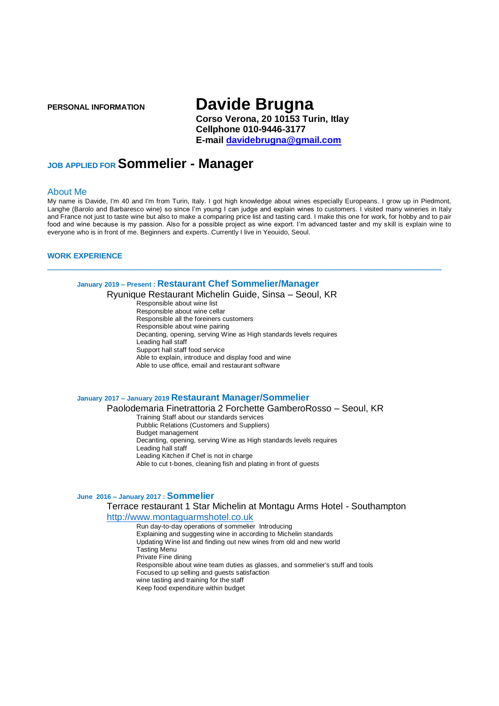# **PERSONAL INFORMATION Davide Brugna**

**Corso Verona, 20 10153 Turin, Itlay Cellphone 010-9446-3177 E-mail [davidebrugna@gmail.com](mailto:dbrugna@yahoo.it)**

# **JOB APPLIED FOR Sommelier - Manager**

#### About Me

My name is Davide, I'm 40 and I'm from Turin, Italy. I got high knowledge about wines especially Europeans. I grow up in Piedmont, Langhe (Barolo and Barbaresco wine) so since I'm young I can judge and explain wines to customers. I visited many wineries in Italy and France not just to taste wine but also to make a comparing price list and tasting card. I make this one for work, for hobby and to pair food and wine because is my passion. Also for a possible project as wine export. I'm advanced taster and my skill is explain wine to everyone who is in front of me. Beginners and experts. Currently I live in Yeouido, Seoul.

\_\_\_\_\_\_\_\_\_\_\_\_\_\_\_\_\_\_\_\_\_\_\_\_\_\_\_\_\_\_\_\_\_\_\_\_\_\_\_\_\_\_\_\_\_\_\_\_\_\_\_\_\_\_\_\_\_\_\_\_\_\_\_\_\_\_\_\_\_\_\_\_\_\_\_\_\_

#### **WORK EXPERIENCE**

#### **January 2019 – Present : Restaurant Chef Sommelier/Manager**

Ryunique Restaurant Michelin Guide, Sinsa – Seoul, KR

Responsible about wine list Responsible about wine cellar Responsible all the foreiners customers Responsible about wine pairing Decanting, opening, serving Wine as High standards levels requires Leading hall staff Support hall staff food service Able to explain, introduce and display food and wine Able to use office, email and restaurant software

#### **January 2017 – January 2019 Restaurant Manager/Sommelier**

Paolodemaria Finetrattoria 2 Forchette GamberoRosso – Seoul, KR

Training Staff about our standards services Pubblic Relations (Customers and Suppliers) Budget management Decanting, opening, serving Wine as High standards levels requires Leading hall staff Leading Kitchen if Chef is not in charge Able to cut t-bones, cleaning fish and plating in front of guests

#### **June 2016 – January 2017 : Sommelier**

# Terrace restaurant 1 Star Michelin at Montagu Arms Hotel - Southampton

# [http://www.montaguarmshotel.co.uk](http://www.montaguarmshotel.co.uk/)

Run day-to-day operations of sommelier Introducing Explaining and suggesting wine in according to Michelin standards Updating Wine list and finding out new wines from old and new world Tasting Menu Private Fine dining Responsible about wine team duties as glasses, and sommelier's stuff and tools Focused to up selling and guests satisfaction wine tasting and training for the staff Keep food expenditure within budget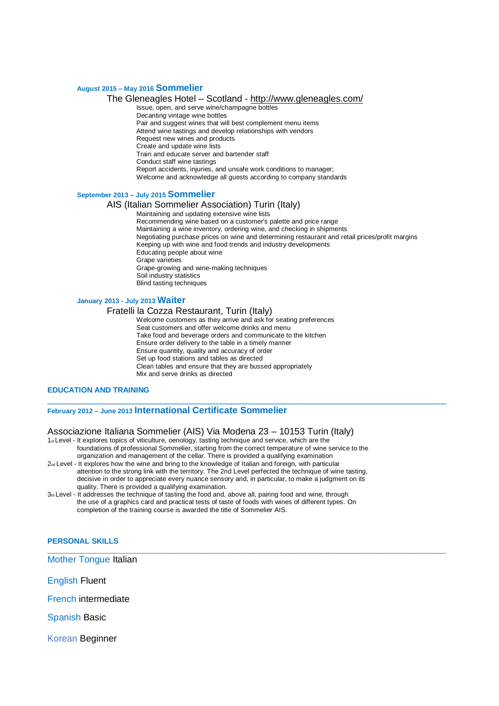#### **August 2015 – May 2016 Sommelier**

#### The Gleneagles Hotel – Scotland - <http://www.gleneagles.com/>

Issue, open, and serve wine/champagne bottles Decanting vintage wine bottles Pair and suggest wines that will best complement menu items Attend wine tastings and develop relationships with vendors Request new wines and products Create and update wine lists Train and educate server and bartender staff Conduct staff wine tastings Report accidents, injuries, and unsafe work conditions to manager; Welcome and acknowledge all guests according to company standards

#### **September 2013 – July 2015 Sommelier**

#### AIS (Italian Sommelier Association) Turin (Italy)

Maintaining and updating extensive wine lists Recommending wine based on a customer's palette and price range Maintaining a wine inventory, ordering wine, and checking in shipments Negotiating purchase prices on wine and determining restaurant and retail prices/profit margins Keeping up with wine and food trends and industry developments Educating people about wine Grape varieties Grape-growing and wine-making techniques Soil industry statistics Blind tasting techniques

#### **January 2013 - July 2013 Waiter**

#### Fratelli la Cozza Restaurant, Turin (Italy)

Welcome customers as they arrive and ask for seating preferences Seat customers and offer welcome drinks and menu Take food and beverage orders and communicate to the kitchen Ensure order delivery to the table in a timely manner Ensure quantity, quality and accuracy of order Set up food stations and tables as directed Clean tables and ensure that they are bussed appropriately Mix and serve drinks as directed

\_\_\_\_\_\_\_\_\_\_\_\_\_\_\_\_\_\_\_\_\_\_\_\_\_\_\_\_\_\_\_\_\_\_\_\_\_\_\_\_\_\_\_\_\_\_\_\_\_\_\_\_\_\_\_\_\_\_\_\_\_\_\_\_\_\_\_\_\_\_\_\_\_\_\_\_\_\_

**\_\_\_\_\_\_\_\_\_\_\_\_\_\_\_\_\_\_\_\_\_\_\_\_\_\_\_\_\_\_\_\_\_\_\_\_\_\_\_\_\_\_\_\_\_\_\_\_\_\_\_\_\_\_\_\_\_\_\_\_\_\_\_\_\_\_\_\_\_\_\_\_\_\_\_\_\_\_\_\_\_\_\_\_\_\_\_\_\_\_\_\_\_\_\_**

# **EDUCATION AND TRAINING**

# **February 2012 – June 2013 International Certificate Sommelier**

# Associazione Italiana Sommelier (AIS) Via Modena 23 – 10153 Turin (Italy)

1<sub>st</sub> Level - It explores topics of viticulture, oenology, tasting technique and service, which are the foundations of professional Sommelier, starting from the correct temperature of wine service to the organization and management of the cellar. There is provided a qualifying examination

2<sup>nd</sup> Level - It explores how the wine and bring to the knowledge of Italian and foreign, with particular attention to the strong link with the territory. The 2nd Level perfected the technique of wine tasting, decisive in order to appreciate every nuance sensory and, in particular, to make a judgment on its quality. There is provided a qualifying examination.

 $3<sub>rd</sub>$  Level - It addresses the technique of tasting the food and, above all, pairing food and wine, through the use of a graphics card and practical tests of taste of foods with wines of different types. On completion of the training course is awarded the title of Sommelier AIS.

## **PERSONAL SKILLS**

Mother Tongue Italian

English Fluent

French intermediate

Spanish Basic

Korean Beginner